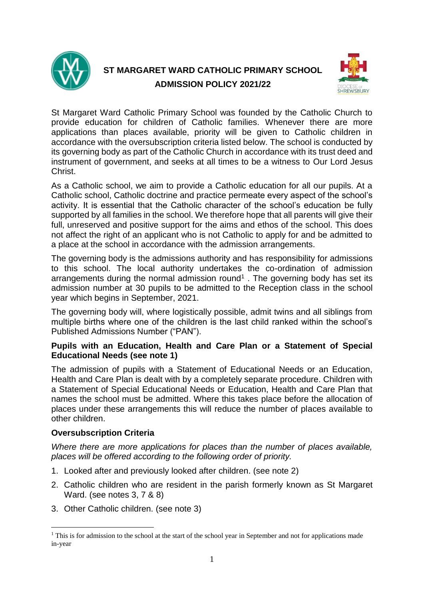

# **ST MARGARET WARD CATHOLIC PRIMARY SCHOOL ADMISSION POLICY 2021/22**



St Margaret Ward Catholic Primary School was founded by the Catholic Church to provide education for children of Catholic families. Whenever there are more applications than places available, priority will be given to Catholic children in accordance with the oversubscription criteria listed below. The school is conducted by its governing body as part of the Catholic Church in accordance with its trust deed and instrument of government, and seeks at all times to be a witness to Our Lord Jesus Christ.

As a Catholic school, we aim to provide a Catholic education for all our pupils. At a Catholic school, Catholic doctrine and practice permeate every aspect of the school's activity. It is essential that the Catholic character of the school's education be fully supported by all families in the school. We therefore hope that all parents will give their full, unreserved and positive support for the aims and ethos of the school. This does not affect the right of an applicant who is not Catholic to apply for and be admitted to a place at the school in accordance with the admission arrangements.

The governing body is the admissions authority and has responsibility for admissions to this school. The local authority undertakes the co-ordination of admission arrangements during the normal admission round<sup>1</sup>. The governing body has set its admission number at 30 pupils to be admitted to the Reception class in the school year which begins in September, 2021.

The governing body will, where logistically possible, admit twins and all siblings from multiple births where one of the children is the last child ranked within the school's Published Admissions Number ("PAN").

## **Pupils with an Education, Health and Care Plan or a Statement of Special Educational Needs (see note 1)**

The admission of pupils with a Statement of Educational Needs or an Education, Health and Care Plan is dealt with by a completely separate procedure. Children with a Statement of Special Educational Needs or Education, Health and Care Plan that names the school must be admitted. Where this takes place before the allocation of places under these arrangements this will reduce the number of places available to other children.

## **Oversubscription Criteria**

1

*Where there are more applications for places than the number of places available, places will be offered according to the following order of priority.*

- 1. Looked after and previously looked after children. (see note 2)
- 2. Catholic children who are resident in the parish formerly known as St Margaret Ward. (see notes 3, 7 & 8)
- 3. Other Catholic children. (see note 3)

<sup>&</sup>lt;sup>1</sup> This is for admission to the school at the start of the school year in September and not for applications made in-year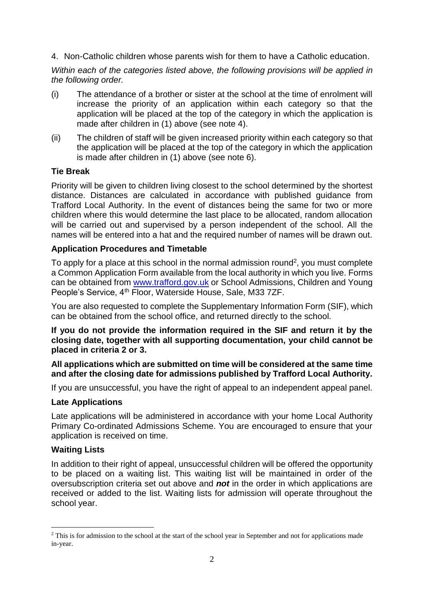4. Non-Catholic children whose parents wish for them to have a Catholic education.

*Within each of the categories listed above, the following provisions will be applied in the following order.*

- (i) The attendance of a brother or sister at the school at the time of enrolment will increase the priority of an application within each category so that the application will be placed at the top of the category in which the application is made after children in (1) above (see note 4).
- (ii) The children of staff will be given increased priority within each category so that the application will be placed at the top of the category in which the application is made after children in (1) above (see note 6).

## **Tie Break**

Priority will be given to children living closest to the school determined by the shortest distance. Distances are calculated in accordance with published guidance from Trafford Local Authority. In the event of distances being the same for two or more children where this would determine the last place to be allocated, random allocation will be carried out and supervised by a person independent of the school. All the names will be entered into a hat and the required number of names will be drawn out.

## **Application Procedures and Timetable**

To apply for a place at this school in the normal admission round<sup>2</sup>, you must complete a Common Application Form available from the local authority in which you live. Forms can be obtained from [www.trafford.gov.uk](http://www.trafford.gov.uk/) or School Admissions, Children and Young People's Service, 4th Floor, Waterside House, Sale, M33 7ZF.

You are also requested to complete the Supplementary Information Form (SIF), which can be obtained from the school office, and returned directly to the school.

**If you do not provide the information required in the SIF and return it by the closing date, together with all supporting documentation, your child cannot be placed in criteria 2 or 3.**

#### **All applications which are submitted on time will be considered at the same time and after the closing date for admissions published by Trafford Local Authority.**

If you are unsuccessful, you have the right of appeal to an independent appeal panel.

#### **Late Applications**

Late applications will be administered in accordance with your home Local Authority Primary Co-ordinated Admissions Scheme. You are encouraged to ensure that your application is received on time.

#### **Waiting Lists**

1

In addition to their right of appeal, unsuccessful children will be offered the opportunity to be placed on a waiting list. This waiting list will be maintained in order of the oversubscription criteria set out above and *not* in the order in which applications are received or added to the list. Waiting lists for admission will operate throughout the school year.

<sup>&</sup>lt;sup>2</sup> This is for admission to the school at the start of the school year in September and not for applications made in-year.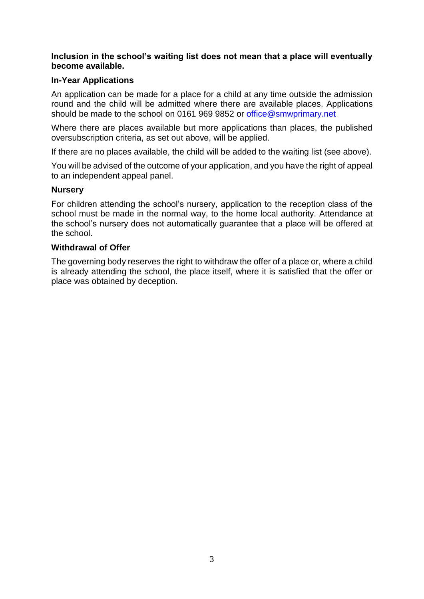#### **Inclusion in the school's waiting list does not mean that a place will eventually become available.**

### **In-Year Applications**

An application can be made for a place for a child at any time outside the admission round and the child will be admitted where there are available places. Applications should be made to the school on 0161 969 9852 or [office@smwprimary.net](mailto:office@smwprimary.net)

Where there are places available but more applications than places, the published oversubscription criteria, as set out above, will be applied.

If there are no places available, the child will be added to the waiting list (see above).

You will be advised of the outcome of your application, and you have the right of appeal to an independent appeal panel.

#### **Nursery**

For children attending the school's nursery, application to the reception class of the school must be made in the normal way, to the home local authority. Attendance at the school's nursery does not automatically guarantee that a place will be offered at the school.

#### **Withdrawal of Offer**

The governing body reserves the right to withdraw the offer of a place or, where a child is already attending the school, the place itself, where it is satisfied that the offer or place was obtained by deception.